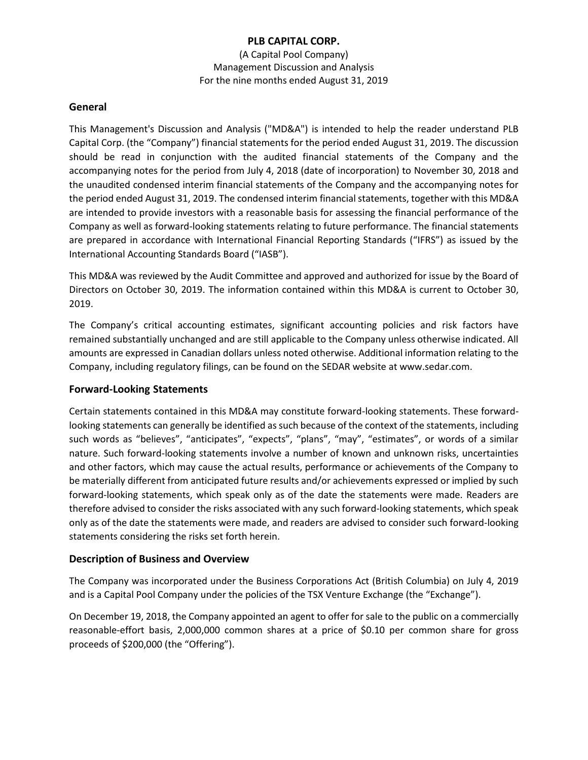(A Capital Pool Company) Management Discussion and Analysis For the nine months ended August 31, 2019

#### **General**

This Management's Discussion and Analysis ("MD&A") is intended to help the reader understand PLB Capital Corp. (the "Company") financial statements for the period ended August 31, 2019. The discussion should be read in conjunction with the audited financial statements of the Company and the accompanying notes for the period from July 4, 2018 (date of incorporation) to November 30, 2018 and the unaudited condensed interim financial statements of the Company and the accompanying notes for the period ended August 31, 2019. The condensed interim financial statements, together with this MD&A are intended to provide investors with a reasonable basis for assessing the financial performance of the Company as well as forward-looking statements relating to future performance. The financial statements are prepared in accordance with International Financial Reporting Standards ("IFRS") as issued by the International Accounting Standards Board ("IASB").

This MD&A was reviewed by the Audit Committee and approved and authorized for issue by the Board of Directors on October 30, 2019. The information contained within this MD&A is current to October 30, 2019.

The Company's critical accounting estimates, significant accounting policies and risk factors have remained substantially unchanged and are still applicable to the Company unless otherwise indicated. All amounts are expressed in Canadian dollars unless noted otherwise. Additional information relating to the Company, including regulatory filings, can be found on the SEDAR website at www.sedar.com.

# **Forward-Looking Statements**

Certain statements contained in this MD&A may constitute forward-looking statements. These forwardlooking statements can generally be identified as such because of the context of the statements, including such words as "believes", "anticipates", "expects", "plans", "may", "estimates", or words of a similar nature. Such forward-looking statements involve a number of known and unknown risks, uncertainties and other factors, which may cause the actual results, performance or achievements of the Company to be materially different from anticipated future results and/or achievements expressed or implied by such forward-looking statements, which speak only as of the date the statements were made. Readers are therefore advised to consider the risks associated with any such forward-looking statements, which speak only as of the date the statements were made, and readers are advised to consider such forward-looking statements considering the risks set forth herein.

# **Description of Business and Overview**

The Company was incorporated under the Business Corporations Act (British Columbia) on July 4, 2019 and is a Capital Pool Company under the policies of the TSX Venture Exchange (the "Exchange").

On December 19, 2018, the Company appointed an agent to offer for sale to the public on a commercially reasonable-effort basis, 2,000,000 common shares at a price of \$0.10 per common share for gross proceeds of \$200,000 (the "Offering").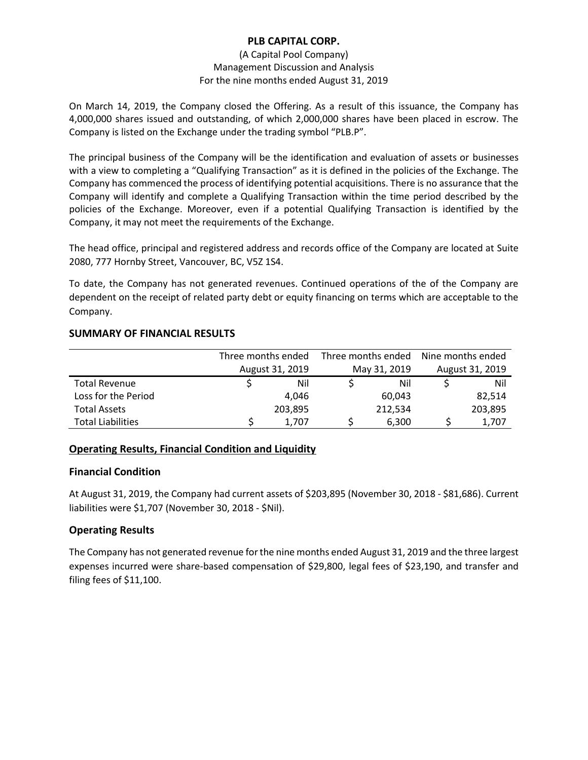#### (A Capital Pool Company) Management Discussion and Analysis For the nine months ended August 31, 2019

On March 14, 2019, the Company closed the Offering. As a result of this issuance, the Company has 4,000,000 shares issued and outstanding, of which 2,000,000 shares have been placed in escrow. The Company is listed on the Exchange under the trading symbol "PLB.P".

The principal business of the Company will be the identification and evaluation of assets or businesses with a view to completing a "Qualifying Transaction" as it is defined in the policies of the Exchange. The Company has commenced the process of identifying potential acquisitions. There is no assurance that the Company will identify and complete a Qualifying Transaction within the time period described by the policies of the Exchange. Moreover, even if a potential Qualifying Transaction is identified by the Company, it may not meet the requirements of the Exchange.

The head office, principal and registered address and records office of the Company are located at Suite 2080, 777 Hornby Street, Vancouver, BC, V5Z 1S4.

To date, the Company has not generated revenues. Continued operations of the of the Company are dependent on the receipt of related party debt or equity financing on terms which are acceptable to the Company.

# **SUMMARY OF FINANCIAL RESULTS**

|                          | Three months ended |                 | Three months ended |              | Nine months ended |                 |  |
|--------------------------|--------------------|-----------------|--------------------|--------------|-------------------|-----------------|--|
|                          |                    | August 31, 2019 |                    | May 31, 2019 |                   | August 31, 2019 |  |
| <b>Total Revenue</b>     |                    | Nil             |                    | Nil          |                   | Nil             |  |
| Loss for the Period      |                    | 4.046           |                    | 60.043       |                   | 82,514          |  |
| <b>Total Assets</b>      |                    | 203,895         |                    | 212,534      |                   | 203,895         |  |
| <b>Total Liabilities</b> |                    | 1.707           |                    | 6,300        |                   | 1.707           |  |

# **Operating Results, Financial Condition and Liquidity**

#### **Financial Condition**

At August 31, 2019, the Company had current assets of \$203,895 (November 30, 2018 - \$81,686). Current liabilities were \$1,707 (November 30, 2018 - \$Nil).

# **Operating Results**

The Company has not generated revenue for the nine months ended August 31, 2019 and the three largest expenses incurred were share-based compensation of \$29,800, legal fees of \$23,190, and transfer and filing fees of \$11,100.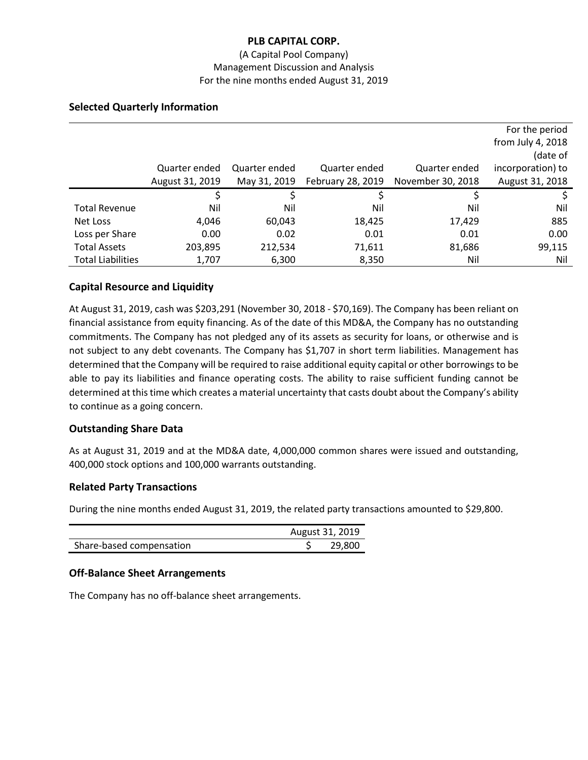#### (A Capital Pool Company) Management Discussion and Analysis For the nine months ended August 31, 2019

# **Selected Quarterly Information**

|                          |                 |               |                   |                   | For the period    |
|--------------------------|-----------------|---------------|-------------------|-------------------|-------------------|
|                          |                 |               |                   |                   | from July 4, 2018 |
|                          |                 |               |                   |                   | (date of          |
|                          | Quarter ended   | Quarter ended | Quarter ended     | Quarter ended     | incorporation) to |
|                          | August 31, 2019 | May 31, 2019  | February 28, 2019 | November 30, 2018 | August 31, 2018   |
|                          | S               |               |                   |                   |                   |
| <b>Total Revenue</b>     | Nil             | Nil           | Nil               | Nil               | Nil               |
| Net Loss                 | 4,046           | 60,043        | 18,425            | 17,429            | 885               |
| Loss per Share           | 0.00            | 0.02          | 0.01              | 0.01              | 0.00              |
| <b>Total Assets</b>      | 203,895         | 212,534       | 71,611            | 81,686            | 99,115            |
| <b>Total Liabilities</b> | 1,707           | 6,300         | 8,350             | Nil               | Nil               |

# **Capital Resource and Liquidity**

At August 31, 2019, cash was \$203,291 (November 30, 2018 - \$70,169). The Company has been reliant on financial assistance from equity financing. As of the date of this MD&A, the Company has no outstanding commitments. The Company has not pledged any of its assets as security for loans, or otherwise and is not subject to any debt covenants. The Company has \$1,707 in short term liabilities. Management has determined that the Company will be required to raise additional equity capital or other borrowings to be able to pay its liabilities and finance operating costs. The ability to raise sufficient funding cannot be determined at this time which creates a material uncertainty that casts doubt about the Company's ability to continue as a going concern.

# **Outstanding Share Data**

As at August 31, 2019 and at the MD&A date, 4,000,000 common shares were issued and outstanding, 400,000 stock options and 100,000 warrants outstanding.

# **Related Party Transactions**

During the nine months ended August 31, 2019, the related party transactions amounted to \$29,800.

|                          | August 31, 2019 |        |
|--------------------------|-----------------|--------|
| Share-based compensation |                 | 29,800 |

# **Off-Balance Sheet Arrangements**

The Company has no off-balance sheet arrangements.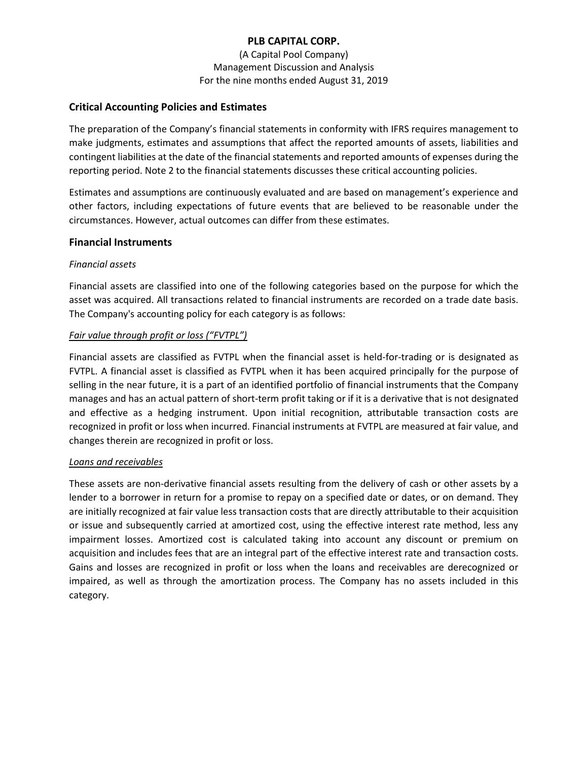(A Capital Pool Company) Management Discussion and Analysis For the nine months ended August 31, 2019

#### **Critical Accounting Policies and Estimates**

The preparation of the Company's financial statements in conformity with IFRS requires management to make judgments, estimates and assumptions that affect the reported amounts of assets, liabilities and contingent liabilities at the date of the financial statements and reported amounts of expenses during the reporting period. Note 2 to the financial statements discusses these critical accounting policies.

Estimates and assumptions are continuously evaluated and are based on management's experience and other factors, including expectations of future events that are believed to be reasonable under the circumstances. However, actual outcomes can differ from these estimates.

#### **Financial Instruments**

#### *Financial assets*

Financial assets are classified into one of the following categories based on the purpose for which the asset was acquired. All transactions related to financial instruments are recorded on a trade date basis. The Company's accounting policy for each category is as follows:

#### *Fair value through profit or loss ("FVTPL")*

Financial assets are classified as FVTPL when the financial asset is held-for-trading or is designated as FVTPL. A financial asset is classified as FVTPL when it has been acquired principally for the purpose of selling in the near future, it is a part of an identified portfolio of financial instruments that the Company manages and has an actual pattern of short-term profit taking or if it is a derivative that is not designated and effective as a hedging instrument. Upon initial recognition, attributable transaction costs are recognized in profit or loss when incurred. Financial instruments at FVTPL are measured at fair value, and changes therein are recognized in profit or loss.

#### *Loans and receivables*

These assets are non-derivative financial assets resulting from the delivery of cash or other assets by a lender to a borrower in return for a promise to repay on a specified date or dates, or on demand. They are initially recognized at fair value less transaction costs that are directly attributable to their acquisition or issue and subsequently carried at amortized cost, using the effective interest rate method, less any impairment losses. Amortized cost is calculated taking into account any discount or premium on acquisition and includes fees that are an integral part of the effective interest rate and transaction costs. Gains and losses are recognized in profit or loss when the loans and receivables are derecognized or impaired, as well as through the amortization process. The Company has no assets included in this category.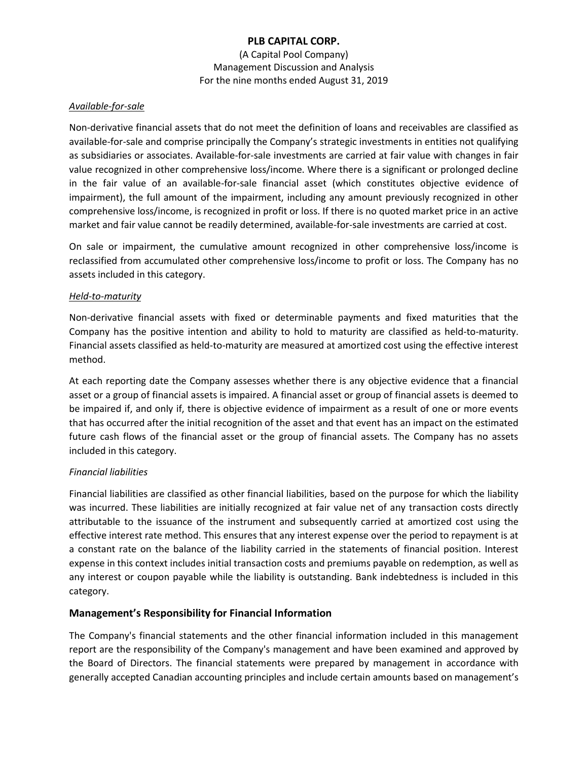(A Capital Pool Company) Management Discussion and Analysis For the nine months ended August 31, 2019

#### *Available-for-sale*

Non-derivative financial assets that do not meet the definition of loans and receivables are classified as available-for-sale and comprise principally the Company's strategic investments in entities not qualifying as subsidiaries or associates. Available-for-sale investments are carried at fair value with changes in fair value recognized in other comprehensive loss/income. Where there is a significant or prolonged decline in the fair value of an available-for-sale financial asset (which constitutes objective evidence of impairment), the full amount of the impairment, including any amount previously recognized in other comprehensive loss/income, is recognized in profit or loss. If there is no quoted market price in an active market and fair value cannot be readily determined, available-for-sale investments are carried at cost.

On sale or impairment, the cumulative amount recognized in other comprehensive loss/income is reclassified from accumulated other comprehensive loss/income to profit or loss. The Company has no assets included in this category.

#### *Held-to-maturity*

Non-derivative financial assets with fixed or determinable payments and fixed maturities that the Company has the positive intention and ability to hold to maturity are classified as held-to-maturity. Financial assets classified as held-to-maturity are measured at amortized cost using the effective interest method.

At each reporting date the Company assesses whether there is any objective evidence that a financial asset or a group of financial assets is impaired. A financial asset or group of financial assets is deemed to be impaired if, and only if, there is objective evidence of impairment as a result of one or more events that has occurred after the initial recognition of the asset and that event has an impact on the estimated future cash flows of the financial asset or the group of financial assets. The Company has no assets included in this category.

# *Financial liabilities*

Financial liabilities are classified as other financial liabilities, based on the purpose for which the liability was incurred. These liabilities are initially recognized at fair value net of any transaction costs directly attributable to the issuance of the instrument and subsequently carried at amortized cost using the effective interest rate method. This ensures that any interest expense over the period to repayment is at a constant rate on the balance of the liability carried in the statements of financial position. Interest expense in this context includes initial transaction costs and premiums payable on redemption, as well as any interest or coupon payable while the liability is outstanding. Bank indebtedness is included in this category.

# **Management's Responsibility for Financial Information**

The Company's financial statements and the other financial information included in this management report are the responsibility of the Company's management and have been examined and approved by the Board of Directors. The financial statements were prepared by management in accordance with generally accepted Canadian accounting principles and include certain amounts based on management's